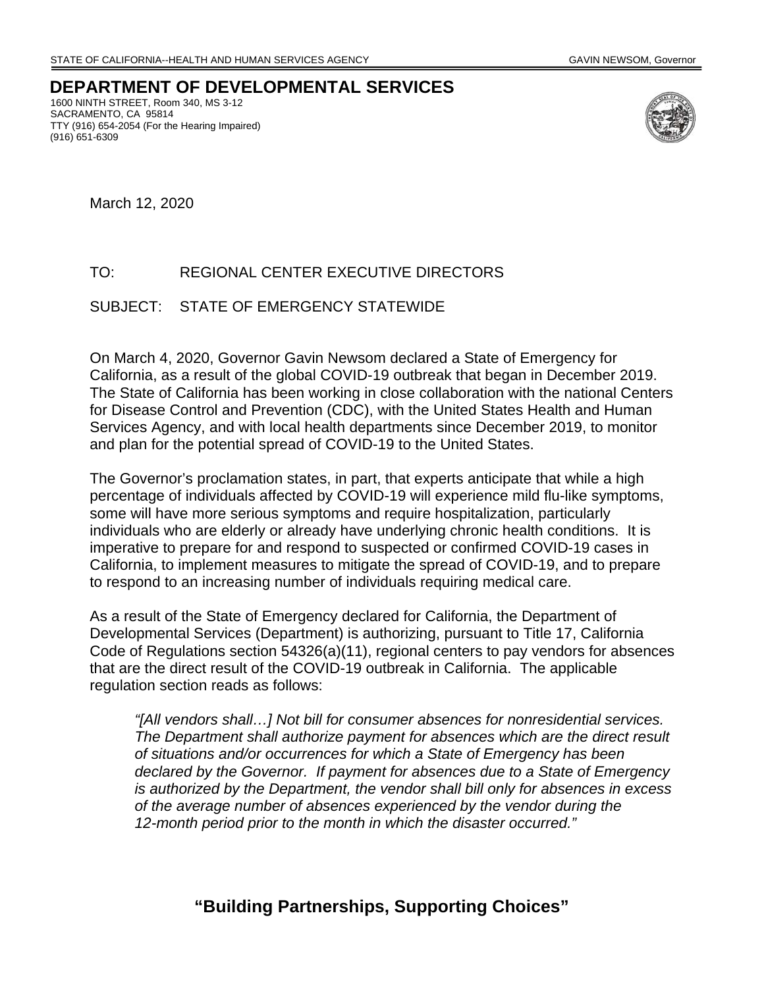**DEPARTMENT OF DEVELOPMENTAL SERVICES**  1600 NINTH STREET, Room 340, MS 3-12 SACRAMENTO, CA 95814 TTY (916) 654-2054 (For the Hearing Impaired)



March 12, 2020

(916) 651-6309

## TO: REGIONAL CENTER EXECUTIVE DIRECTORS

## SUBJECT: STATE OF EMERGENCY STATEWIDE

On March 4, 2020, Governor Gavin Newsom declared a State of Emergency for California, as a result of the global COVID-19 outbreak that began in December 2019. The State of California has been working in close collaboration with the national Centers for Disease Control and Prevention (CDC), with the United States Health and Human Services Agency, and with local health departments since December 2019, to monitor and plan for the potential spread of COVID-19 to the United States.

The Governor's proclamation states, in part, that experts anticipate that while a high percentage of individuals affected by COVID-19 will experience mild flu-like symptoms, some will have more serious symptoms and require hospitalization, particularly individuals who are elderly or already have underlying chronic health conditions. It is imperative to prepare for and respond to suspected or confirmed COVID-19 cases in California, to implement measures to mitigate the spread of COVID-19, and to prepare to respond to an increasing number of individuals requiring medical care.

As a result of the State of Emergency declared for California, the Department of Developmental Services (Department) is authorizing, pursuant to Title 17, California Code of Regulations section 54326(a)(11), regional centers to pay vendors for absences that are the direct result of the COVID-19 outbreak in California. The applicable regulation section reads as follows:

*"[All vendors shall…] Not bill for consumer absences for nonresidential services. The Department shall authorize payment for absences which are the direct result of situations and/or occurrences for which a State of Emergency has been declared by the Governor. If payment for absences due to a State of Emergency is authorized by the Department, the vendor shall bill only for absences in excess of the average number of absences experienced by the vendor during the 12-month period prior to the month in which the disaster occurred."* 

**"Building Partnerships, Supporting Choices"**